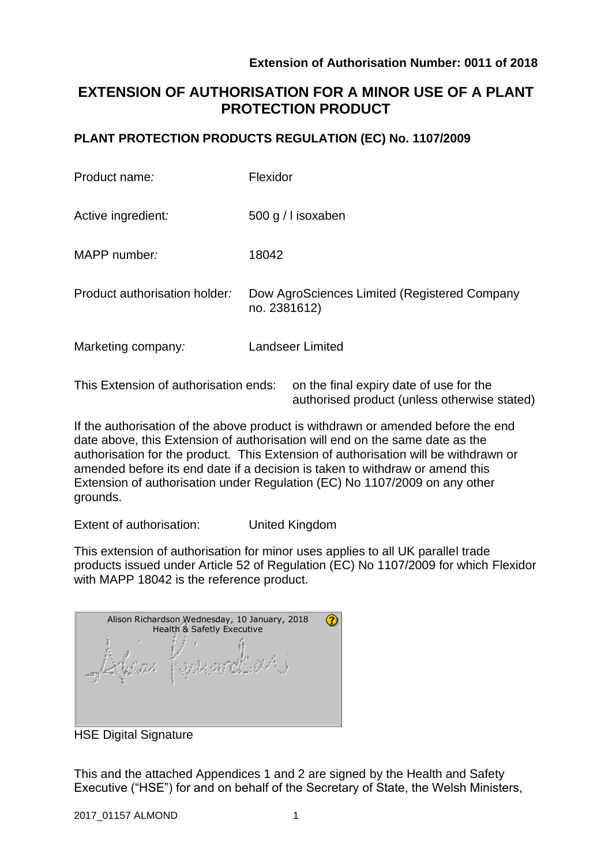authorised product (unless otherwise stated)

# **EXTENSION OF AUTHORISATION FOR A MINOR USE OF A PLANT PROTECTION PRODUCT**

### **PLANT PROTECTION PRODUCTS REGULATION (EC) No. 1107/2009**

| Product name:                         | Flexidor                                                     |
|---------------------------------------|--------------------------------------------------------------|
| Active ingredient:                    | 500 g / l isoxaben                                           |
| MAPP number:                          | 18042                                                        |
| Product authorisation holder:         | Dow AgroSciences Limited (Registered Company<br>no. 2381612) |
| Marketing company:                    | <b>Landseer Limited</b>                                      |
| This Extension of authorisation ends: | on the final expiry date of use for the                      |

If the authorisation of the above product is withdrawn or amended before the end date above, this Extension of authorisation will end on the same date as the authorisation for the product. This Extension of authorisation will be withdrawn or amended before its end date if a decision is taken to withdraw or amend this Extension of authorisation under Regulation (EC) No 1107/2009 on any other grounds.

Extent of authorisation: United Kingdom

This extension of authorisation for minor uses applies to all UK parallel trade products issued under Article 52 of Regulation (EC) No 1107/2009 for which Flexidor with MAPP 18042 is the reference product.

| Alison Richardson Wednesday, 10 January, 2018<br>Health & Safetly Executive |  |  |  |
|-----------------------------------------------------------------------------|--|--|--|
|                                                                             |  |  |  |

HSE Digital Signature

This and the attached Appendices 1 and 2 are signed by the Health and Safety Executive ("HSE") for and on behalf of the Secretary of State, the Welsh Ministers,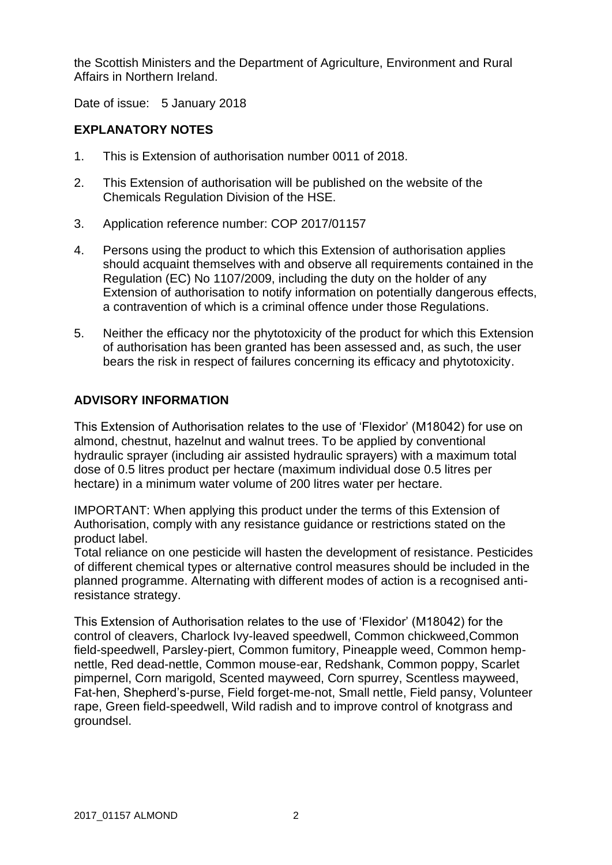the Scottish Ministers and the Department of Agriculture, Environment and Rural Affairs in Northern Ireland.

Date of issue: 5 January 2018

## **EXPLANATORY NOTES**

- 1. This is Extension of authorisation number 0011 of 2018.
- 2. This Extension of authorisation will be published on the website of the Chemicals Regulation Division of the HSE.
- 3. Application reference number: COP 2017/01157
- 4. Persons using the product to which this Extension of authorisation applies should acquaint themselves with and observe all requirements contained in the Regulation (EC) No 1107/2009, including the duty on the holder of any Extension of authorisation to notify information on potentially dangerous effects, a contravention of which is a criminal offence under those Regulations.
- 5. Neither the efficacy nor the phytotoxicity of the product for which this Extension of authorisation has been granted has been assessed and, as such, the user bears the risk in respect of failures concerning its efficacy and phytotoxicity.

### **ADVISORY INFORMATION**

This Extension of Authorisation relates to the use of 'Flexidor' (M18042) for use on almond, chestnut, hazelnut and walnut trees. To be applied by conventional hydraulic sprayer (including air assisted hydraulic sprayers) with a maximum total dose of 0.5 litres product per hectare (maximum individual dose 0.5 litres per hectare) in a minimum water volume of 200 litres water per hectare.

IMPORTANT: When applying this product under the terms of this Extension of Authorisation, comply with any resistance guidance or restrictions stated on the product label.

Total reliance on one pesticide will hasten the development of resistance. Pesticides of different chemical types or alternative control measures should be included in the planned programme. Alternating with different modes of action is a recognised antiresistance strategy.

This Extension of Authorisation relates to the use of 'Flexidor' (M18042) for the control of cleavers, Charlock Ivy-leaved speedwell, Common chickweed,Common field-speedwell, Parsley-piert, Common fumitory, Pineapple weed, Common hempnettle, Red dead-nettle, Common mouse-ear, Redshank, Common poppy, Scarlet pimpernel, Corn marigold, Scented mayweed, Corn spurrey, Scentless mayweed, Fat-hen, Shepherd's-purse, Field forget-me-not, Small nettle, Field pansy, Volunteer rape, Green field-speedwell, Wild radish and to improve control of knotgrass and groundsel.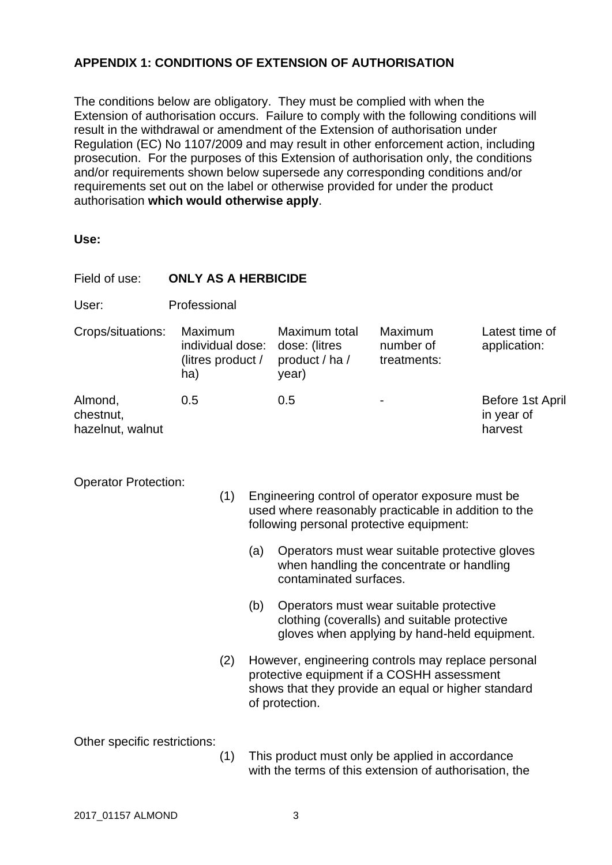# **APPENDIX 1: CONDITIONS OF EXTENSION OF AUTHORISATION**

The conditions below are obligatory. They must be complied with when the Extension of authorisation occurs. Failure to comply with the following conditions will result in the withdrawal or amendment of the Extension of authorisation under Regulation (EC) No 1107/2009 and may result in other enforcement action, including prosecution. For the purposes of this Extension of authorisation only, the conditions and/or requirements shown below supersede any corresponding conditions and/or requirements set out on the label or otherwise provided for under the product authorisation **which would otherwise apply**.

**Use:**

| Field of use:                            | <b>ONLY AS A HERBICIDE</b>                              |     |                                                                                                                                                      |                                                                                                                                                                           |                                                                                                                                         |                                           |  |  |
|------------------------------------------|---------------------------------------------------------|-----|------------------------------------------------------------------------------------------------------------------------------------------------------|---------------------------------------------------------------------------------------------------------------------------------------------------------------------------|-----------------------------------------------------------------------------------------------------------------------------------------|-------------------------------------------|--|--|
| User:                                    | Professional                                            |     |                                                                                                                                                      |                                                                                                                                                                           |                                                                                                                                         |                                           |  |  |
| Crops/situations:                        | Maximum<br>individual dose:<br>(litres product /<br>ha) |     |                                                                                                                                                      | Maximum total<br>dose: (litres<br>product / ha /<br>year)                                                                                                                 | Maximum<br>number of<br>treatments:                                                                                                     | Latest time of<br>application:            |  |  |
| Almond,<br>chestnut,<br>hazelnut, walnut | 0.5                                                     |     |                                                                                                                                                      | 0.5                                                                                                                                                                       |                                                                                                                                         | Before 1st April<br>in year of<br>harvest |  |  |
| <b>Operator Protection:</b>              |                                                         | (1) | Engineering control of operator exposure must be<br>used where reasonably practicable in addition to the<br>following personal protective equipment: |                                                                                                                                                                           |                                                                                                                                         |                                           |  |  |
|                                          |                                                         |     | (a)                                                                                                                                                  | contaminated surfaces.                                                                                                                                                    | Operators must wear suitable protective gloves<br>when handling the concentrate or handling                                             |                                           |  |  |
|                                          |                                                         |     | (b)                                                                                                                                                  |                                                                                                                                                                           | Operators must wear suitable protective<br>clothing (coveralls) and suitable protective<br>gloves when applying by hand-held equipment. |                                           |  |  |
|                                          |                                                         | (2) |                                                                                                                                                      | However, engineering controls may replace personal<br>protective equipment if a COSHH assessment<br>shows that they provide an equal or higher standard<br>of protection. |                                                                                                                                         |                                           |  |  |
| Other specific restrictions:             |                                                         | (1) |                                                                                                                                                      | This product must only be applied in accordance                                                                                                                           |                                                                                                                                         |                                           |  |  |

(1) This product must only be applied in accordance with the terms of this extension of authorisation, the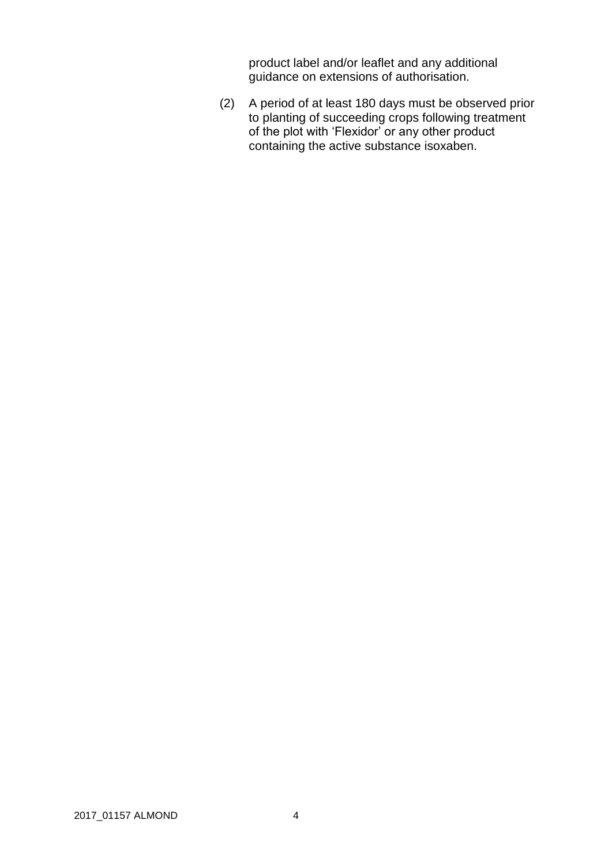product label and/or leaflet and any additional guidance on extensions of authorisation.

(2) A period of at least 180 days must be observed prior to planting of succeeding crops following treatment of the plot with 'Flexidor' or any other product containing the active substance isoxaben.